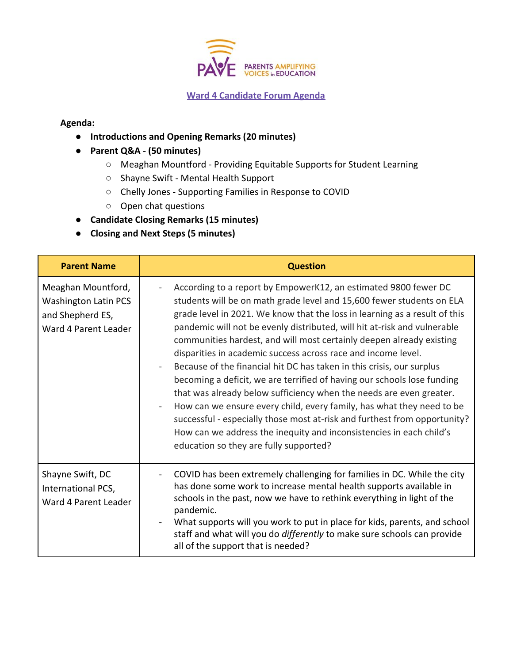

## **Ward 4 Candidate Forum Agenda**

## **Agenda:**

- **Introductions and Opening Remarks (20 minutes)**
- **Parent Q&A (50 minutes)**
	- Meaghan Mountford Providing Equitable Supports for Student Learning
	- Shayne Swift Mental Health Support
	- Chelly Jones Supporting Families in Response to COVID
	- Open chat questions
- **Candidate Closing Remarks (15 minutes)**
- **● Closing and Next Steps (5 minutes)**

| <b>Parent Name</b>                                                                            | <b>Question</b>                                                                                                                                                                                                                                                                                                                                                                                                                                                                                                                                                                                                                                                                                                                                                                                                                                                                                                                               |
|-----------------------------------------------------------------------------------------------|-----------------------------------------------------------------------------------------------------------------------------------------------------------------------------------------------------------------------------------------------------------------------------------------------------------------------------------------------------------------------------------------------------------------------------------------------------------------------------------------------------------------------------------------------------------------------------------------------------------------------------------------------------------------------------------------------------------------------------------------------------------------------------------------------------------------------------------------------------------------------------------------------------------------------------------------------|
| Meaghan Mountford,<br><b>Washington Latin PCS</b><br>and Shepherd ES,<br>Ward 4 Parent Leader | According to a report by EmpowerK12, an estimated 9800 fewer DC<br>students will be on math grade level and 15,600 fewer students on ELA<br>grade level in 2021. We know that the loss in learning as a result of this<br>pandemic will not be evenly distributed, will hit at-risk and vulnerable<br>communities hardest, and will most certainly deepen already existing<br>disparities in academic success across race and income level.<br>Because of the financial hit DC has taken in this crisis, our surplus<br>becoming a deficit, we are terrified of having our schools lose funding<br>that was already below sufficiency when the needs are even greater.<br>How can we ensure every child, every family, has what they need to be<br>successful - especially those most at-risk and furthest from opportunity?<br>How can we address the inequity and inconsistencies in each child's<br>education so they are fully supported? |
| Shayne Swift, DC<br>International PCS,<br>Ward 4 Parent Leader                                | COVID has been extremely challenging for families in DC. While the city<br>has done some work to increase mental health supports available in<br>schools in the past, now we have to rethink everything in light of the<br>pandemic.<br>What supports will you work to put in place for kids, parents, and school<br>staff and what will you do differently to make sure schools can provide<br>all of the support that is needed?                                                                                                                                                                                                                                                                                                                                                                                                                                                                                                            |